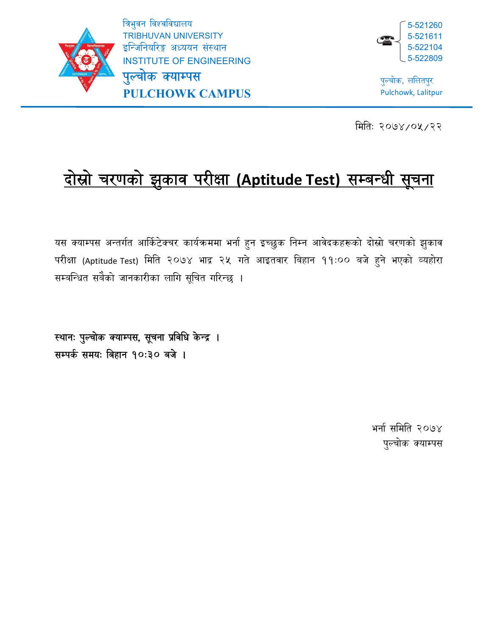

i

त्रिभुवन विश्वविद्यालय TRIBHUVAN UNIVERSITY इन्जिनियरिङ्ग अध्ययन संस्थान INSTITUTE OF ENGINEERING





पुल्चोक, ललितपुर Pulchowk, Lalitpur

िमित: २०७४/०५/२२

## <u>दोस्रो चरणको झुकाव परीक्षा (Aptitude Test) सम्बन्धी सूचना</u>

यस क्याम्पस अन्तर्गत आर्किटेक्चर कार्यक्रममा भर्ना हुन इच्छुक निम्न आवेदकहरूको दोस्रो चरणको झुकाव परीक्षा (Aptitude Test) मिति २०७४ भाद्र २५ गते आइतवार बिहान ११:०० बजे हुने भएको व्यहोरा सम्बिन्धत सबैको जानकारीका लािग सूिचत गिरन्छ ।

स्थानः पुल्चोक क्याम्पस, सूचना प्रविधि केन्द्र । सम्पर्क समयः बिहान १०:३० बजे ।

> भनार् सिमित २०७४ पुल्चोक क्याम्पस